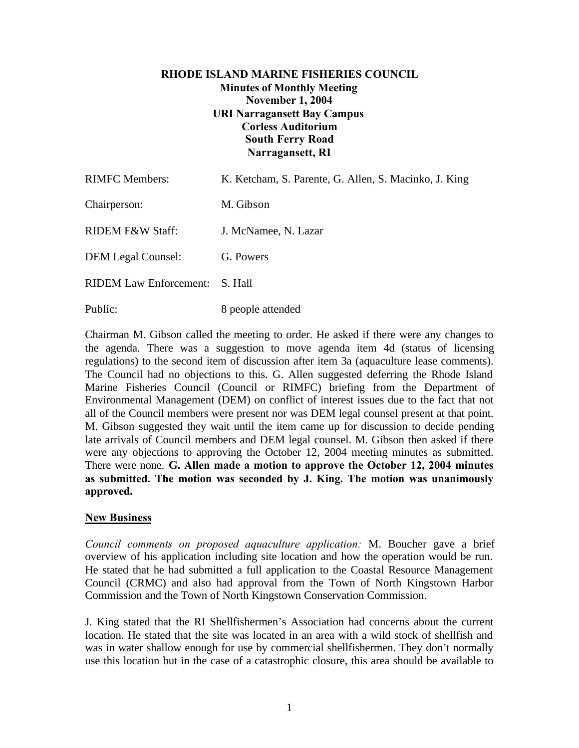## **RHODE ISLAND MARINE FISHERIES COUNCIL Minutes of Monthly Meeting November 1, 2004 URI Narragansett Bay Campus Corless Auditorium South Ferry Road Narragansett, RI**

| <b>RIMFC Members:</b>          | K. Ketcham, S. Parente, G. Allen, S. Macinko, J. King |
|--------------------------------|-------------------------------------------------------|
| Chairperson:                   | M. Gibson                                             |
| RIDEM F&W Staff:               | J. McNamee, N. Lazar                                  |
| <b>DEM Legal Counsel:</b>      | G. Powers                                             |
| RIDEM Law Enforcement: S. Hall |                                                       |
| Public:                        | 8 people attended                                     |

Chairman M. Gibson called the meeting to order. He asked if there were any changes to the agenda. There was a suggestion to move agenda item 4d (status of licensing regulations) to the second item of discussion after item 3a (aquaculture lease comments). The Council had no objections to this. G. Allen suggested deferring the Rhode Island Marine Fisheries Council (Council or RIMFC) briefing from the Department of Environmental Management (DEM) on conflict of interest issues due to the fact that not all of the Council members were present nor was DEM legal counsel present at that point. M. Gibson suggested they wait until the item came up for discussion to decide pending late arrivals of Council members and DEM legal counsel. M. Gibson then asked if there were any objections to approving the October 12, 2004 meeting minutes as submitted. There were none. **G. Allen made a motion to approve the October 12, 2004 minutes as submitted. The motion was seconded by J. King. The motion was unanimously approved.**

## **New Business**

*Council comments on proposed aquaculture application:* M. Boucher gave a brief overview of his application including site location and how the operation would be run. He stated that he had submitted a full application to the Coastal Resource Management Council (CRMC) and also had approval from the Town of North Kingstown Harbor Commission and the Town of North Kingstown Conservation Commission.

J. King stated that the RI Shellfishermen's Association had concerns about the current location. He stated that the site was located in an area with a wild stock of shellfish and was in water shallow enough for use by commercial shellfishermen. They don't normally use this location but in the case of a catastrophic closure, this area should be available to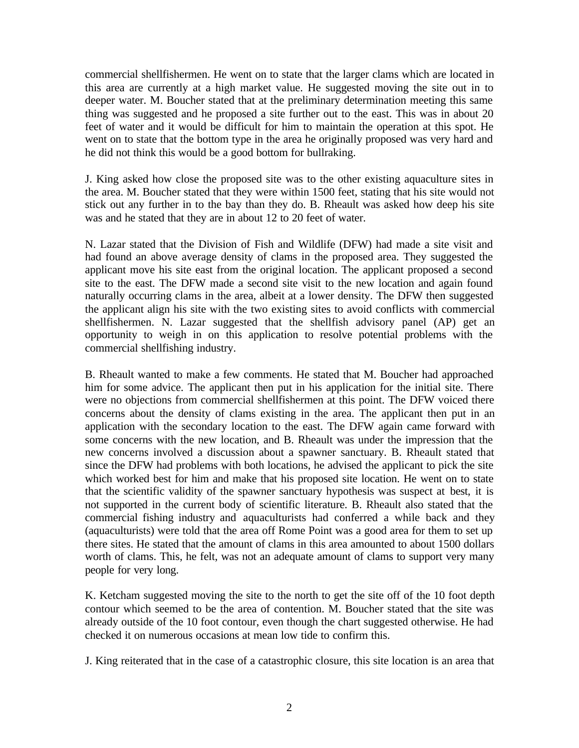commercial shellfishermen. He went on to state that the larger clams which are located in this area are currently at a high market value. He suggested moving the site out in to deeper water. M. Boucher stated that at the preliminary determination meeting this same thing was suggested and he proposed a site further out to the east. This was in about 20 feet of water and it would be difficult for him to maintain the operation at this spot. He went on to state that the bottom type in the area he originally proposed was very hard and he did not think this would be a good bottom for bullraking.

J. King asked how close the proposed site was to the other existing aquaculture sites in the area. M. Boucher stated that they were within 1500 feet, stating that his site would not stick out any further in to the bay than they do. B. Rheault was asked how deep his site was and he stated that they are in about 12 to 20 feet of water.

N. Lazar stated that the Division of Fish and Wildlife (DFW) had made a site visit and had found an above average density of clams in the proposed area. They suggested the applicant move his site east from the original location. The applicant proposed a second site to the east. The DFW made a second site visit to the new location and again found naturally occurring clams in the area, albeit at a lower density. The DFW then suggested the applicant align his site with the two existing sites to avoid conflicts with commercial shellfishermen. N. Lazar suggested that the shellfish advisory panel (AP) get an opportunity to weigh in on this application to resolve potential problems with the commercial shellfishing industry.

B. Rheault wanted to make a few comments. He stated that M. Boucher had approached him for some advice. The applicant then put in his application for the initial site. There were no objections from commercial shellfishermen at this point. The DFW voiced there concerns about the density of clams existing in the area. The applicant then put in an application with the secondary location to the east. The DFW again came forward with some concerns with the new location, and B. Rheault was under the impression that the new concerns involved a discussion about a spawner sanctuary. B. Rheault stated that since the DFW had problems with both locations, he advised the applicant to pick the site which worked best for him and make that his proposed site location. He went on to state that the scientific validity of the spawner sanctuary hypothesis was suspect at best, it is not supported in the current body of scientific literature. B. Rheault also stated that the commercial fishing industry and aquaculturists had conferred a while back and they (aquaculturists) were told that the area off Rome Point was a good area for them to set up there sites. He stated that the amount of clams in this area amounted to about 1500 dollars worth of clams. This, he felt, was not an adequate amount of clams to support very many people for very long.

K. Ketcham suggested moving the site to the north to get the site off of the 10 foot depth contour which seemed to be the area of contention. M. Boucher stated that the site was already outside of the 10 foot contour, even though the chart suggested otherwise. He had checked it on numerous occasions at mean low tide to confirm this.

J. King reiterated that in the case of a catastrophic closure, this site location is an area that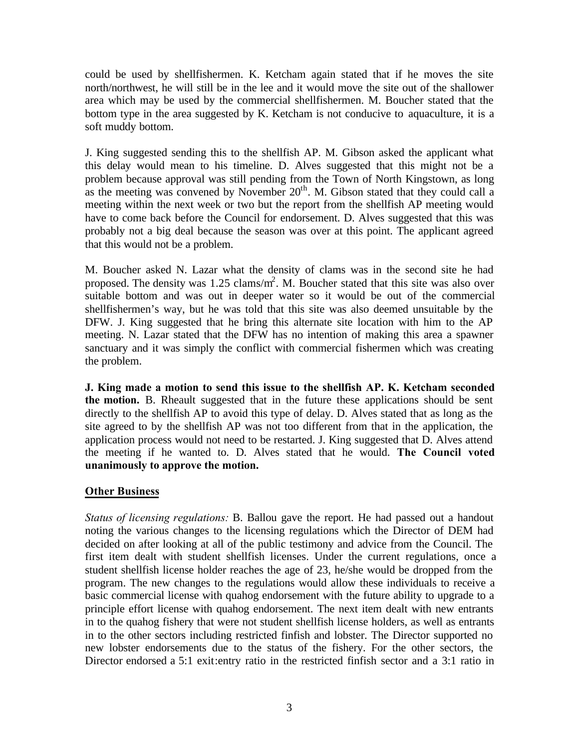could be used by shellfishermen. K. Ketcham again stated that if he moves the site north/northwest, he will still be in the lee and it would move the site out of the shallower area which may be used by the commercial shellfishermen. M. Boucher stated that the bottom type in the area suggested by K. Ketcham is not conducive to aquaculture, it is a soft muddy bottom.

J. King suggested sending this to the shellfish AP. M. Gibson asked the applicant what this delay would mean to his timeline. D. Alves suggested that this might not be a problem because approval was still pending from the Town of North Kingstown, as long as the meeting was convened by November  $20<sup>th</sup>$ . M. Gibson stated that they could call a meeting within the next week or two but the report from the shellfish AP meeting would have to come back before the Council for endorsement. D. Alves suggested that this was probably not a big deal because the season was over at this point. The applicant agreed that this would not be a problem.

M. Boucher asked N. Lazar what the density of clams was in the second site he had proposed. The density was  $1.25 \text{ clams/m}^2$ . M. Boucher stated that this site was also over suitable bottom and was out in deeper water so it would be out of the commercial shellfishermen's way, but he was told that this site was also deemed unsuitable by the DFW. J. King suggested that he bring this alternate site location with him to the AP meeting. N. Lazar stated that the DFW has no intention of making this area a spawner sanctuary and it was simply the conflict with commercial fishermen which was creating the problem.

**J. King made a motion to send this issue to the shellfish AP. K. Ketcham seconded the motion.** B. Rheault suggested that in the future these applications should be sent directly to the shellfish AP to avoid this type of delay. D. Alves stated that as long as the site agreed to by the shellfish AP was not too different from that in the application, the application process would not need to be restarted. J. King suggested that D. Alves attend the meeting if he wanted to. D. Alves stated that he would. **The Council voted unanimously to approve the motion.**

## **Other Business**

*Status of licensing regulations:* B. Ballou gave the report. He had passed out a handout noting the various changes to the licensing regulations which the Director of DEM had decided on after looking at all of the public testimony and advice from the Council. The first item dealt with student shellfish licenses. Under the current regulations, once a student shellfish license holder reaches the age of 23, he/she would be dropped from the program. The new changes to the regulations would allow these individuals to receive a basic commercial license with quahog endorsement with the future ability to upgrade to a principle effort license with quahog endorsement. The next item dealt with new entrants in to the quahog fishery that were not student shellfish license holders, as well as entrants in to the other sectors including restricted finfish and lobster. The Director supported no new lobster endorsements due to the status of the fishery. For the other sectors, the Director endorsed a 5:1 exit:entry ratio in the restricted finfish sector and a 3:1 ratio in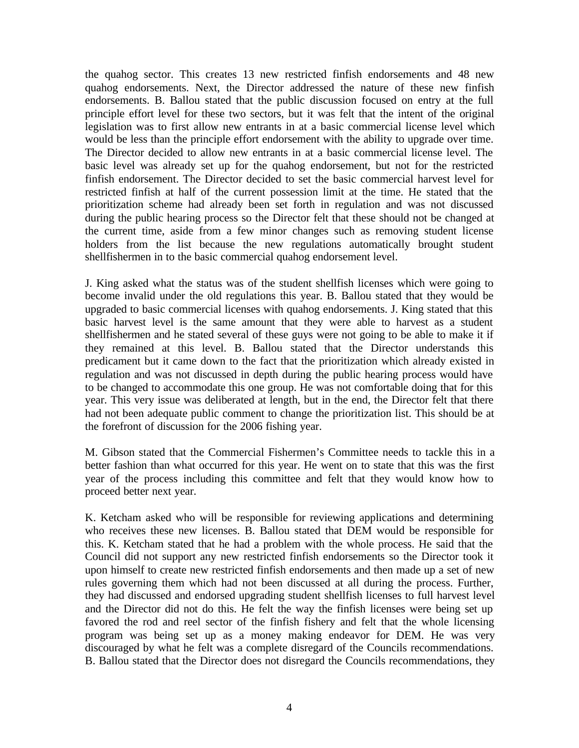the quahog sector. This creates 13 new restricted finfish endorsements and 48 new quahog endorsements. Next, the Director addressed the nature of these new finfish endorsements. B. Ballou stated that the public discussion focused on entry at the full principle effort level for these two sectors, but it was felt that the intent of the original legislation was to first allow new entrants in at a basic commercial license level which would be less than the principle effort endorsement with the ability to upgrade over time. The Director decided to allow new entrants in at a basic commercial license level. The basic level was already set up for the quahog endorsement, but not for the restricted finfish endorsement. The Director decided to set the basic commercial harvest level for restricted finfish at half of the current possession limit at the time. He stated that the prioritization scheme had already been set forth in regulation and was not discussed during the public hearing process so the Director felt that these should not be changed at the current time, aside from a few minor changes such as removing student license holders from the list because the new regulations automatically brought student shellfishermen in to the basic commercial quahog endorsement level.

J. King asked what the status was of the student shellfish licenses which were going to become invalid under the old regulations this year. B. Ballou stated that they would be upgraded to basic commercial licenses with quahog endorsements. J. King stated that this basic harvest level is the same amount that they were able to harvest as a student shellfishermen and he stated several of these guys were not going to be able to make it if they remained at this level. B. Ballou stated that the Director understands this predicament but it came down to the fact that the prioritization which already existed in regulation and was not discussed in depth during the public hearing process would have to be changed to accommodate this one group. He was not comfortable doing that for this year. This very issue was deliberated at length, but in the end, the Director felt that there had not been adequate public comment to change the prioritization list. This should be at the forefront of discussion for the 2006 fishing year.

M. Gibson stated that the Commercial Fishermen's Committee needs to tackle this in a better fashion than what occurred for this year. He went on to state that this was the first year of the process including this committee and felt that they would know how to proceed better next year.

K. Ketcham asked who will be responsible for reviewing applications and determining who receives these new licenses. B. Ballou stated that DEM would be responsible for this. K. Ketcham stated that he had a problem with the whole process. He said that the Council did not support any new restricted finfish endorsements so the Director took it upon himself to create new restricted finfish endorsements and then made up a set of new rules governing them which had not been discussed at all during the process. Further, they had discussed and endorsed upgrading student shellfish licenses to full harvest level and the Director did not do this. He felt the way the finfish licenses were being set up favored the rod and reel sector of the finfish fishery and felt that the whole licensing program was being set up as a money making endeavor for DEM. He was very discouraged by what he felt was a complete disregard of the Councils recommendations. B. Ballou stated that the Director does not disregard the Councils recommendations, they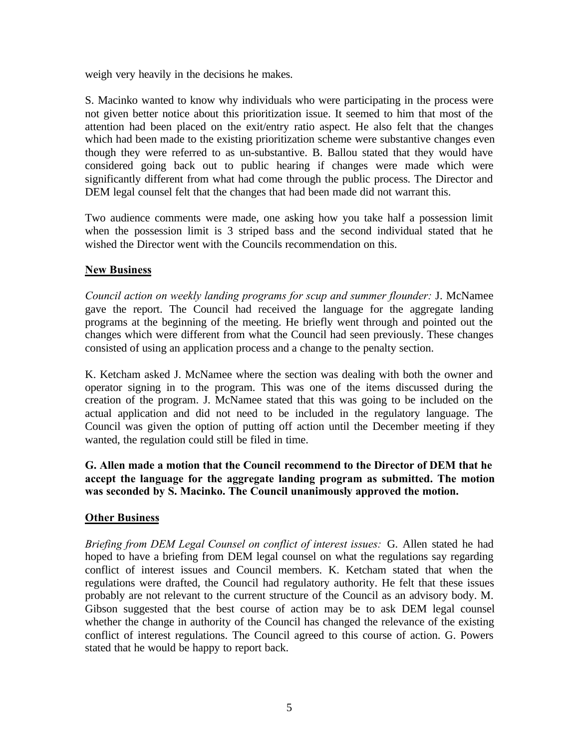weigh very heavily in the decisions he makes.

S. Macinko wanted to know why individuals who were participating in the process were not given better notice about this prioritization issue. It seemed to him that most of the attention had been placed on the exit/entry ratio aspect. He also felt that the changes which had been made to the existing prioritization scheme were substantive changes even though they were referred to as un-substantive. B. Ballou stated that they would have considered going back out to public hearing if changes were made which were significantly different from what had come through the public process. The Director and DEM legal counsel felt that the changes that had been made did not warrant this.

Two audience comments were made, one asking how you take half a possession limit when the possession limit is 3 striped bass and the second individual stated that he wished the Director went with the Councils recommendation on this.

## **New Business**

*Council action on weekly landing programs for scup and summer flounder:* J. McNamee gave the report. The Council had received the language for the aggregate landing programs at the beginning of the meeting. He briefly went through and pointed out the changes which were different from what the Council had seen previously. These changes consisted of using an application process and a change to the penalty section.

K. Ketcham asked J. McNamee where the section was dealing with both the owner and operator signing in to the program. This was one of the items discussed during the creation of the program. J. McNamee stated that this was going to be included on the actual application and did not need to be included in the regulatory language. The Council was given the option of putting off action until the December meeting if they wanted, the regulation could still be filed in time.

**G. Allen made a motion that the Council recommend to the Director of DEM that he accept the language for the aggregate landing program as submitted. The motion was seconded by S. Macinko. The Council unanimously approved the motion.**

# **Other Business**

*Briefing from DEM Legal Counsel on conflict of interest issues:* G. Allen stated he had hoped to have a briefing from DEM legal counsel on what the regulations say regarding conflict of interest issues and Council members. K. Ketcham stated that when the regulations were drafted, the Council had regulatory authority. He felt that these issues probably are not relevant to the current structure of the Council as an advisory body. M. Gibson suggested that the best course of action may be to ask DEM legal counsel whether the change in authority of the Council has changed the relevance of the existing conflict of interest regulations. The Council agreed to this course of action. G. Powers stated that he would be happy to report back.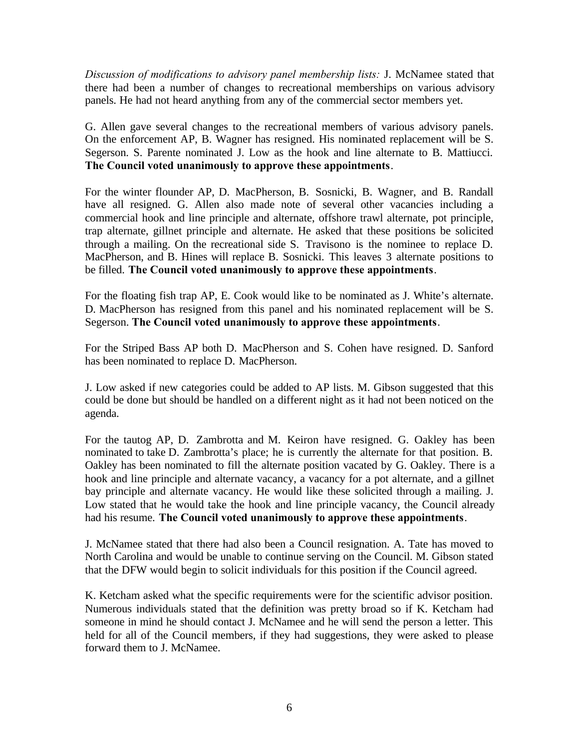*Discussion of modifications to advisory panel membership lists:* J. McNamee stated that there had been a number of changes to recreational memberships on various advisory panels. He had not heard anything from any of the commercial sector members yet.

G. Allen gave several changes to the recreational members of various advisory panels. On the enforcement AP, B. Wagner has resigned. His nominated replacement will be S. Segerson. S. Parente nominated J. Low as the hook and line alternate to B. Mattiucci. **The Council voted unanimously to approve these appointments**.

For the winter flounder AP, D. MacPherson, B. Sosnicki, B. Wagner, and B. Randall have all resigned. G. Allen also made note of several other vacancies including a commercial hook and line principle and alternate, offshore trawl alternate, pot principle, trap alternate, gillnet principle and alternate. He asked that these positions be solicited through a mailing. On the recreational side S. Travisono is the nominee to replace D. MacPherson, and B. Hines will replace B. Sosnicki. This leaves 3 alternate positions to be filled. **The Council voted unanimously to approve these appointments**.

For the floating fish trap AP, E. Cook would like to be nominated as J. White's alternate. D. MacPherson has resigned from this panel and his nominated replacement will be S. Segerson. **The Council voted unanimously to approve these appointments**.

For the Striped Bass AP both D. MacPherson and S. Cohen have resigned. D. Sanford has been nominated to replace D. MacPherson.

J. Low asked if new categories could be added to AP lists. M. Gibson suggested that this could be done but should be handled on a different night as it had not been noticed on the agenda.

For the tautog AP, D. Zambrotta and M. Keiron have resigned. G. Oakley has been nominated to take D. Zambrotta's place; he is currently the alternate for that position. B. Oakley has been nominated to fill the alternate position vacated by G. Oakley. There is a hook and line principle and alternate vacancy, a vacancy for a pot alternate, and a gillnet bay principle and alternate vacancy. He would like these solicited through a mailing. J. Low stated that he would take the hook and line principle vacancy, the Council already had his resume. **The Council voted unanimously to approve these appointments**.

J. McNamee stated that there had also been a Council resignation. A. Tate has moved to North Carolina and would be unable to continue serving on the Council. M. Gibson stated that the DFW would begin to solicit individuals for this position if the Council agreed.

K. Ketcham asked what the specific requirements were for the scientific advisor position. Numerous individuals stated that the definition was pretty broad so if K. Ketcham had someone in mind he should contact J. McNamee and he will send the person a letter. This held for all of the Council members, if they had suggestions, they were asked to please forward them to J. McNamee.